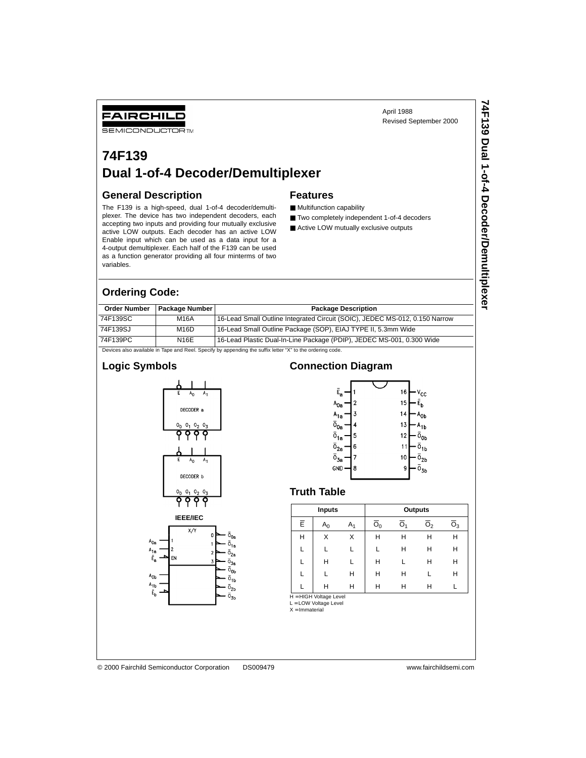April 1988 Revised September 2000

### **74F139 Dual 1-of-4 Decoder/Demultiplexer**

#### **General Description**

FAIRCHILD **SEMICONDUCTOR TM** 

The F139 is a high-speed, dual 1-of-4 decoder/demultiplexer. The device has two independent decoders, each accepting two inputs and providing four mutually exclusive active LOW outputs. Each decoder has an active LOW Enable input which can be used as a data input for a 4-output demultiplexer. Each half of the F139 can be used as a function generator providing all four minterms of two variables.

#### **Features**

- Multifunction capability
- Two completely independent 1-of-4 decoders
- Active LOW mutually exclusive outputs

# 74F139 Dual 1-of-4 Decoder/Demultiplexer **74F139 Dual 1-of-4 Decoder/Demultiplexer**

#### **Ordering Code:**

| <b>Order Number</b>                                                                                     | <b>Package Number</b> | <b>Package Description</b>                                                  |  |  |  |
|---------------------------------------------------------------------------------------------------------|-----------------------|-----------------------------------------------------------------------------|--|--|--|
| 74F139SC                                                                                                | M16A                  | 16-Lead Small Outline Integrated Circuit (SOIC), JEDEC MS-012, 0.150 Narrow |  |  |  |
| 74F139SJ                                                                                                | M <sub>16</sub> D     | 16-Lead Small Outline Package (SOP), EIAJ TYPE II, 5.3mm Wide               |  |  |  |
| 74F139PC                                                                                                | N16E                  | 16-Lead Plastic Dual-In-Line Package (PDIP), JEDEC MS-001, 0.300 Wide       |  |  |  |
| Devices also available in Tane and Reel Specify by annending the suffix letter "Y" to the ordering code |                       |                                                                             |  |  |  |

Devices also available in Tape and Reel. Specify by appending the suffix letter "X" to the ordering code.

#### **Logic Symbols**





#### **Connection Diagram**



#### **Truth Table**

|   | Inputs                 |       | Outputs        |    |                |    |  |  |
|---|------------------------|-------|----------------|----|----------------|----|--|--|
| Ē | A <sub>0</sub>         | $A_1$ | O <sub>0</sub> | Ω. | O <sub>2</sub> | О3 |  |  |
| н | x                      | X     | н              | н  | Н              | н  |  |  |
|   |                        |       |                | н  | н              | Н  |  |  |
|   | н                      |       | Н              |    | н              | Н  |  |  |
|   |                        | н     | н              | н  | L              | Н  |  |  |
|   | н                      | н     | н              | н  | н              |    |  |  |
|   | H = HIGH Voltage Level |       |                |    |                |    |  |  |

L = LOW Voltage Level

 $X = Immaterial$ 

Aοι

 $A_{1}$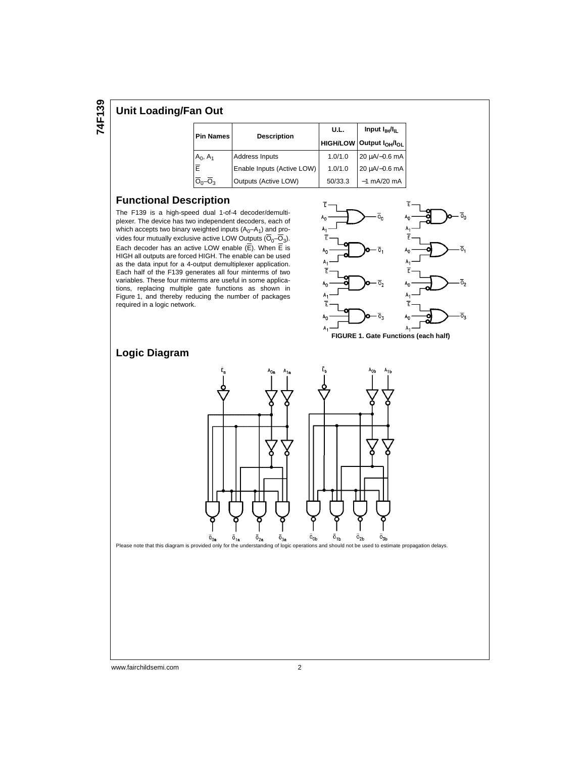#### **Unit Loading/Fan Out**

| <b>Pin Names</b>   |                            | U.L.    | Input $I_{\text{H}}/I_{\text{H}}$                 |  |  |
|--------------------|----------------------------|---------|---------------------------------------------------|--|--|
|                    | <b>Description</b>         |         | <b>HIGH/LOW Output <math>I_{OH}/I_{OL}</math></b> |  |  |
| $A_0, A_1$         | Address Inputs             | 1.0/1.0 | $20 \mu A/-0.6 \text{ mA}$                        |  |  |
| Ē                  | Enable Inputs (Active LOW) | 1.0/1.0 | $20 \mu A/-0.6 \text{ mA}$                        |  |  |
| 0 <sub>0</sub> –0ง | Outputs (Active LOW)       | 50/33.3 | $-1$ mA/20 mA                                     |  |  |

#### **Functional Description**

The F139 is a high-speed dual 1-of-4 decoder/demultiplexer. The device has two independent decoders, each of which accepts two binary weighted inputs  $(A_0-A_1)$  and provides four mutually exclusive active LOW Outputs  $(\overline{O}_0-\overline{O}_3)$ . Each decoder has an active LOW enable  $(\overline{E})$ . When  $\overline{E}$  is HIGH all outputs are forced HIGH. The enable can be used as the data input for a 4-output demultiplexer application. Each half of the F139 generates all four minterms of two variables. These four minterms are useful in some applications, replacing multiple gate functions as shown in Figure 1, and thereby reducing the number of packages required in a logic network.





#### **Logic Diagram**



www.fairchildsemi.com 2